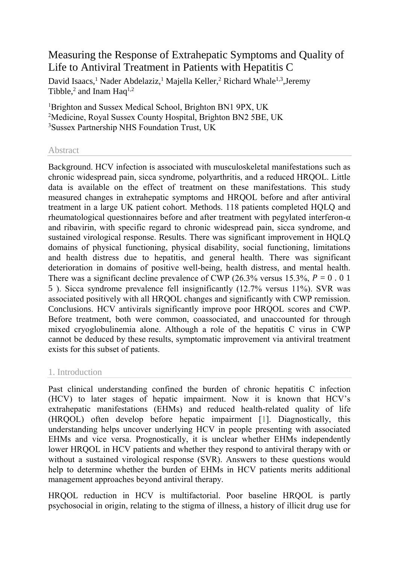# Measuring the Response of Extrahepatic Symptoms and Quality of Life to Antiviral Treatment in Patients with Hepatitis C

[David Isaacs,](http://www.hindawi.com/19786047/)<sup>1</sup> [Nader Abdelaziz,](http://www.hindawi.com/27967536/)<sup>1</sup> [Majella Keller,](http://www.hindawi.com/46207191/)<sup>2</sup> Richard Whale<sup>1,3</sup>, Jeremy [Tibble,](http://www.hindawi.com/37078683/) $^2$  and [Inam Haq](http://www.hindawi.com/78701363/)<sup>1,2</sup>

<sup>1</sup>Brighton and Sussex Medical School, Brighton BN1 9PX, UK <sup>2</sup>Medicine, Royal Sussex County Hospital, Brighton BN2 5BE, UK <sup>3</sup>Sussex Partnership NHS Foundation Trust, UK

### Abstract

Background. HCV infection is associated with musculoskeletal manifestations such as chronic widespread pain, sicca syndrome, polyarthritis, and a reduced HRQOL. Little data is available on the effect of treatment on these manifestations. This study measured changes in extrahepatic symptoms and HRQOL before and after antiviral treatment in a large UK patient cohort. Methods. 118 patients completed HQLQ and rheumatological questionnaires before and after treatment with pegylated interferon- $\alpha$ and ribavirin, with specific regard to chronic widespread pain, sicca syndrome, and sustained virological response. Results. There was significant improvement in HQLQ domains of physical functioning, physical disability, social functioning, limitations and health distress due to hepatitis, and general health. There was significant deterioration in domains of positive well-being, health distress, and mental health. There was a significant decline prevalence of CWP (26.3% versus 15.3%,  $P = 0.01$ ) 5 ). Sicca syndrome prevalence fell insignificantly (12.7% versus 11%). SVR was associated positively with all HRQOL changes and significantly with CWP remission. Conclusions. HCV antivirals significantly improve poor HRQOL scores and CWP. Before treatment, both were common, coassociated, and unaccounted for through mixed cryoglobulinemia alone. Although a role of the hepatitis C virus in CWP cannot be deduced by these results, symptomatic improvement via antiviral treatment exists for this subset of patients.

### 1. Introduction

Past clinical understanding confined the burden of chronic hepatitis C infection (HCV) to later stages of hepatic impairment. Now it is known that HCV's extrahepatic manifestations (EHMs) and reduced health-related quality of life (HRQOL) often develop before hepatic impairment [\[1\]](http://www.hindawi.com/journals/heprt/2013/910519/#B1). Diagnostically, this understanding helps uncover underlying HCV in people presenting with associated EHMs and vice versa. Prognostically, it is unclear whether EHMs independently lower HRQOL in HCV patients and whether they respond to antiviral therapy with or without a sustained virological response (SVR). Answers to these questions would help to determine whether the burden of EHMs in HCV patients merits additional management approaches beyond antiviral therapy.

HRQOL reduction in HCV is multifactorial. Poor baseline HRQOL is partly psychosocial in origin, relating to the stigma of illness, a history of illicit drug use for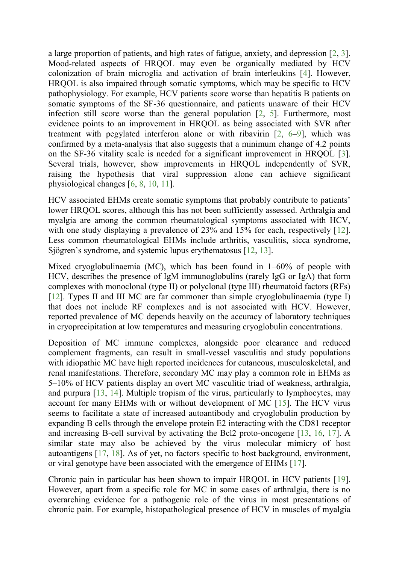a large proportion of patients, and high rates of fatigue, anxiety, and depression [\[2,](http://www.hindawi.com/journals/heprt/2013/910519/#B2) [3\]](http://www.hindawi.com/journals/heprt/2013/910519/#B3). Mood-related aspects of HRQOL may even be organically mediated by HCV colonization of brain microglia and activation of brain interleukins [\[4\]](http://www.hindawi.com/journals/heprt/2013/910519/#B4). However, HRQOL is also impaired through somatic symptoms, which may be specific to HCV pathophysiology. For example, HCV patients score worse than hepatitis B patients on somatic symptoms of the SF-36 questionnaire, and patients unaware of their HCV infection still score worse than the general population [\[2,](http://www.hindawi.com/journals/heprt/2013/910519/#B2) [5\]](http://www.hindawi.com/journals/heprt/2013/910519/#B5). Furthermore, most evidence points to an improvement in HRQOL as being associated with SVR after treatment with pegylated interferon alone or with ribavirin [\[2,](http://www.hindawi.com/journals/heprt/2013/910519/#B2) [6](http://www.hindawi.com/journals/heprt/2013/910519/#B6)–[9\]](http://www.hindawi.com/journals/heprt/2013/910519/#B9), which was confirmed by a meta-analysis that also suggests that a minimum change of 4.2 points on the SF-36 vitality scale is needed for a significant improvement in HRQOL [\[3\]](http://www.hindawi.com/journals/heprt/2013/910519/#B3). Several trials, however, show improvements in HRQOL independently of SVR, raising the hypothesis that viral suppression alone can achieve significant physiological changes [\[6,](http://www.hindawi.com/journals/heprt/2013/910519/#B6) [8,](http://www.hindawi.com/journals/heprt/2013/910519/#B8) [10,](http://www.hindawi.com/journals/heprt/2013/910519/#B10) [11\]](http://www.hindawi.com/journals/heprt/2013/910519/#B11).

HCV associated EHMs create somatic symptoms that probably contribute to patients' lower HRQOL scores, although this has not been sufficiently assessed. Arthralgia and myalgia are among the common rheumatological symptoms associated with HCV, with one study displaying a prevalence of 23% and 15% for each, respectively [\[12\]](http://www.hindawi.com/journals/heprt/2013/910519/#B12). Less common rheumatological EHMs include arthritis, vasculitis, sicca syndrome, Sjögren's syndrome, and systemic lupus erythematosus [\[12,](http://www.hindawi.com/journals/heprt/2013/910519/#B12) [13\]](http://www.hindawi.com/journals/heprt/2013/910519/#B13).

Mixed cryoglobulinaemia (MC), which has been found in 1–60% of people with HCV, describes the presence of IgM immunoglobulins (rarely IgG or IgA) that form complexes with monoclonal (type II) or polyclonal (type III) rheumatoid factors (RFs) [\[12\]](http://www.hindawi.com/journals/heprt/2013/910519/#B12). Types II and III MC are far commoner than simple cryoglobulinaemia (type I) that does not include RF complexes and is not associated with HCV. However, reported prevalence of MC depends heavily on the accuracy of laboratory techniques in cryoprecipitation at low temperatures and measuring cryoglobulin concentrations.

Deposition of MC immune complexes, alongside poor clearance and reduced complement fragments, can result in small-vessel vasculitis and study populations with idiopathic MC have high reported incidences for cutaneous, musculoskeletal, and renal manifestations. Therefore, secondary MC may play a common role in EHMs as 5–10% of HCV patients display an overt MC vasculitic triad of weakness, arthralgia, and purpura [\[13,](http://www.hindawi.com/journals/heprt/2013/910519/#B13) [14\]](http://www.hindawi.com/journals/heprt/2013/910519/#B14). Multiple tropism of the virus, particularly to lymphocytes, may account for many EHMs with or without development of MC [\[15\]](http://www.hindawi.com/journals/heprt/2013/910519/#B15). The HCV virus seems to facilitate a state of increased autoantibody and cryoglobulin production by expanding B cells through the envelope protein E2 interacting with the CD81 receptor and increasing B-cell survival by activating the Bcl2 proto-oncogene [\[13,](http://www.hindawi.com/journals/heprt/2013/910519/#B13) [16,](http://www.hindawi.com/journals/heprt/2013/910519/#B16) [17\]](http://www.hindawi.com/journals/heprt/2013/910519/#B17). A similar state may also be achieved by the virus molecular mimicry of host autoantigens [\[17,](http://www.hindawi.com/journals/heprt/2013/910519/#B17) [18\]](http://www.hindawi.com/journals/heprt/2013/910519/#B18). As of yet, no factors specific to host background, environment, or viral genotype have been associated with the emergence of EHMs [\[17\]](http://www.hindawi.com/journals/heprt/2013/910519/#B17).

Chronic pain in particular has been shown to impair HRQOL in HCV patients [\[19\]](http://www.hindawi.com/journals/heprt/2013/910519/#B19). However, apart from a specific role for MC in some cases of arthralgia, there is no overarching evidence for a pathogenic role of the virus in most presentations of chronic pain. For example, histopathological presence of HCV in muscles of myalgia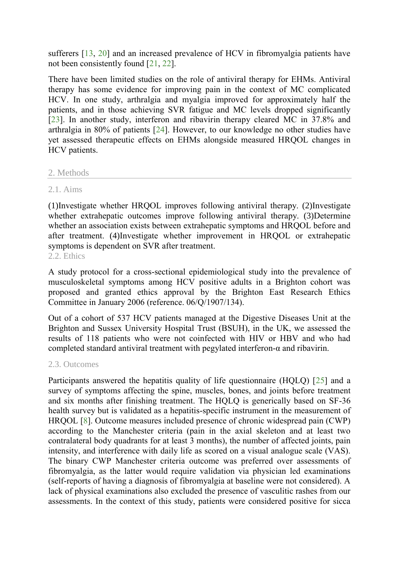sufferers [\[13,](http://www.hindawi.com/journals/heprt/2013/910519/#B13) [20\]](http://www.hindawi.com/journals/heprt/2013/910519/#B20) and an increased prevalence of HCV in fibromyalgia patients have not been consistently found [\[21,](http://www.hindawi.com/journals/heprt/2013/910519/#B21) [22\]](http://www.hindawi.com/journals/heprt/2013/910519/#B22).

There have been limited studies on the role of antiviral therapy for EHMs. Antiviral therapy has some evidence for improving pain in the context of MC complicated HCV. In one study, arthralgia and myalgia improved for approximately half the patients, and in those achieving SVR fatigue and MC levels dropped significantly [\[23\]](http://www.hindawi.com/journals/heprt/2013/910519/#B23). In another study, interferon and ribavirin therapy cleared MC in 37.8% and arthralgia in 80% of patients [\[24\]](http://www.hindawi.com/journals/heprt/2013/910519/#B24). However, to our knowledge no other studies have yet assessed therapeutic effects on EHMs alongside measured HRQOL changes in HCV patients.

### 2. Methods

### 2.1. Aims

(1)Investigate whether HRQOL improves following antiviral therapy. (2)Investigate whether extrahepatic outcomes improve following antiviral therapy. (3)Determine whether an association exists between extrahepatic symptoms and HROOL before and after treatment. (4)Investigate whether improvement in HRQOL or extrahepatic symptoms is dependent on SVR after treatment. 2.2. Ethics

A study protocol for a cross-sectional epidemiological study into the prevalence of musculoskeletal symptoms among HCV positive adults in a Brighton cohort was proposed and granted ethics approval by the Brighton East Research Ethics Committee in January 2006 (reference. 06/Q/1907/134).

Out of a cohort of 537 HCV patients managed at the Digestive Diseases Unit at the Brighton and Sussex University Hospital Trust (BSUH), in the UK, we assessed the results of 118 patients who were not coinfected with HIV or HBV and who had completed standard antiviral treatment with pegylated interferon- $\alpha$  and ribavirin.

### 2.3. Outcomes

Participants answered the hepatitis quality of life questionnaire (HQLQ) [\[25\]](http://www.hindawi.com/journals/heprt/2013/910519/#B25) and a survey of symptoms affecting the spine, muscles, bones, and joints before treatment and six months after finishing treatment. The HQLQ is generically based on SF-36 health survey but is validated as a hepatitis-specific instrument in the measurement of HRQOL [\[8\]](http://www.hindawi.com/journals/heprt/2013/910519/#B8). Outcome measures included presence of chronic widespread pain (CWP) according to the Manchester criteria (pain in the axial skeleton and at least two contralateral body quadrants for at least 3 months), the number of affected joints, pain intensity, and interference with daily life as scored on a visual analogue scale (VAS). The binary CWP Manchester criteria outcome was preferred over assessments of fibromyalgia, as the latter would require validation via physician led examinations (self-reports of having a diagnosis of fibromyalgia at baseline were not considered). A lack of physical examinations also excluded the presence of vasculitic rashes from our assessments. In the context of this study, patients were considered positive for sicca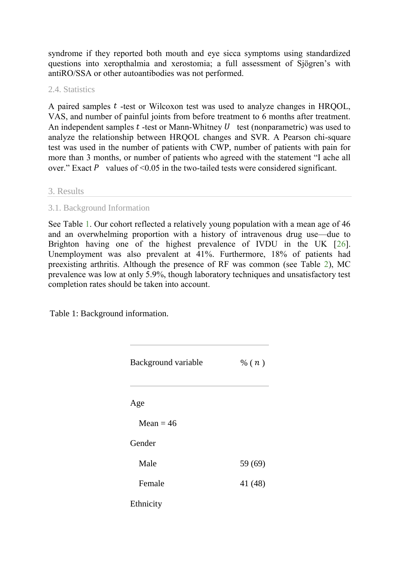syndrome if they reported both mouth and eye sicca symptoms using standardized questions into xeropthalmia and xerostomia; a full assessment of Sjögren's with antiRO/SSA or other autoantibodies was not performed.

### 2.4. Statistics

A paired samples  $t$  -test or Wilcoxon test was used to analyze changes in HRQOL, VAS, and number of painful joints from before treatment to 6 months after treatment. An independent samples  $t$  -test or Mann-Whitney  $U$  test (nonparametric) was used to analyze the relationship between HRQOL changes and SVR. A Pearson chi-square test was used in the number of patients with CWP, number of patients with pain for more than 3 months, or number of patients who agreed with the statement "I ache all over." Exact  $\vec{P}$  values of <0.05 in the two-tailed tests were considered significant.

### 3. Results

### 3.1. Background Information

See Table [1.](http://www.hindawi.com/journals/heprt/2013/910519/tab1/) Our cohort reflected a relatively young population with a mean age of 46 and an overwhelming proportion with a history of intravenous drug use—due to Brighton having one of the highest prevalence of IVDU in the UK [\[26\]](http://www.hindawi.com/journals/heprt/2013/910519/#B26). Unemployment was also prevalent at 41%. Furthermore, 18% of patients had preexisting arthritis. Although the presence of RF was common (see Table [2\)](http://www.hindawi.com/journals/heprt/2013/910519/tab2/), MC prevalence was low at only 5.9%, though laboratory techniques and unsatisfactory test completion rates should be taken into account.

Table 1: Background information.

| Background variable | % $(n)$ |
|---------------------|---------|
| Age                 |         |
| Mean $=$ 46         |         |
| Gender              |         |
| Male                | 59 (69) |
| Female              | 41 (48) |
| Ethnicity           |         |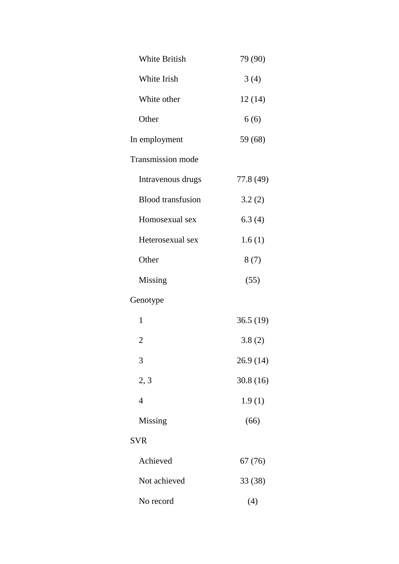| <b>White British</b>     | 79 (90)   |
|--------------------------|-----------|
| White Irish              | 3(4)      |
| White other              | 12(14)    |
| Other                    | 6(6)      |
| In employment            | 59 (68)   |
| <b>Transmission mode</b> |           |
| Intravenous drugs        | 77.8 (49) |
| <b>Blood</b> transfusion | 3.2(2)    |
| Homosexual sex           | 6.3(4)    |
| Heterosexual sex         | 1.6(1)    |
| Other                    | 8(7)      |
| Missing                  | (55)      |
| Genotype                 |           |
| 1                        | 36.5(19)  |
| $\overline{2}$           | 3.8(2)    |
| 3                        | 26.9(14)  |
| 2, 3                     | 30.8(16)  |
| $\overline{4}$           | 1.9(1)    |
| Missing                  | (66)      |
| <b>SVR</b>               |           |
| Achieved                 | 67 (76)   |
| Not achieved             | 33 (38)   |
| No record                | (4)       |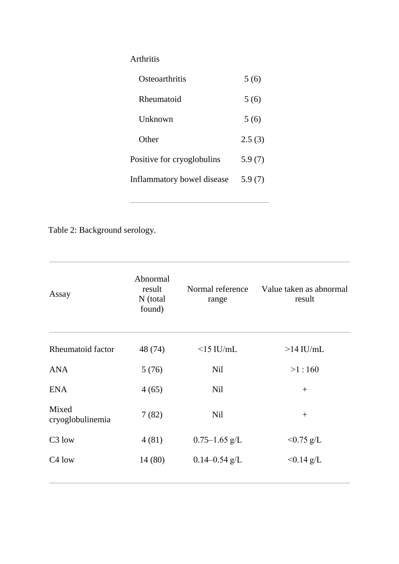## Arthritis

| Osteoarthritis             | 5(6)   |
|----------------------------|--------|
| Rheumatoid                 | 5(6)   |
| Unknown                    | 5(6)   |
| Other                      | 2.5(3) |
| Positive for cryoglobulins | 5.9(7) |
| Inflammatory bowel disease | 5.9(7) |

Table 2: Background serology.

| Abnormal<br>result<br>N (total<br>found) | Normal reference<br>range | Value taken as abnormal<br>result |
|------------------------------------------|---------------------------|-----------------------------------|
| 48 (74)                                  | $<$ 15 IU/mL              | $>14$ IU/mL                       |
| 5(76)                                    | Nil                       | >1:160                            |
| 4(65)                                    | <b>Nil</b>                | $^{+}$                            |
| 7(82)                                    | Nil                       | $^{+}$                            |
| 4(81)                                    | $0.75 - 1.65$ g/L         | $< 0.75$ g/L                      |
| 14 (80)                                  | $0.14 - 0.54$ g/L         | $< 0.14$ g/L                      |
|                                          |                           |                                   |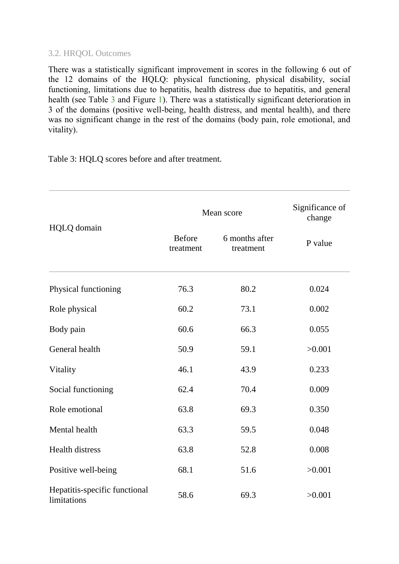### 3.2. HRQOL Outcomes

There was a statistically significant improvement in scores in the following 6 out of the 12 domains of the HQLQ: physical functioning, physical disability, social functioning, limitations due to hepatitis, health distress due to hepatitis, and general health (see Table [3](http://www.hindawi.com/journals/heprt/2013/910519/tab3/) and Figure [1\)](http://www.hindawi.com/journals/heprt/2013/910519/fig1/). There was a statistically significant deterioration in 3 of the domains (positive well-being, health distress, and mental health), and there was no significant change in the rest of the domains (body pain, role emotional, and vitality).

Table 3: HQLQ scores before and after treatment.

|                                              | Mean score                 | Significance of<br>change   |         |
|----------------------------------------------|----------------------------|-----------------------------|---------|
| HQLQ domain                                  | <b>Before</b><br>treatment | 6 months after<br>treatment | P value |
| Physical functioning                         | 76.3                       | 80.2                        | 0.024   |
| Role physical                                | 60.2                       | 73.1                        | 0.002   |
| Body pain                                    | 60.6                       | 66.3                        | 0.055   |
| General health                               | 50.9                       | 59.1                        | >0.001  |
| Vitality                                     | 46.1                       | 43.9                        | 0.233   |
| Social functioning                           | 62.4                       | 70.4                        | 0.009   |
| Role emotional                               | 63.8                       | 69.3                        | 0.350   |
| Mental health                                | 63.3                       | 59.5                        | 0.048   |
| <b>Health distress</b>                       | 63.8                       | 52.8                        | 0.008   |
| Positive well-being                          | 68.1                       | 51.6                        | >0.001  |
| Hepatitis-specific functional<br>limitations | 58.6                       | 69.3                        | >0.001  |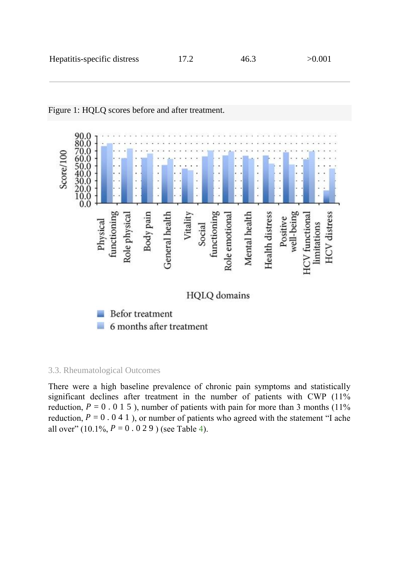

### Figure 1: HQLQ scores before and after treatment.

6 months after treatment ia.

### 3.3. Rheumatological Outcomes

There were a high baseline prevalence of chronic pain symptoms and statistically significant declines after treatment in the number of patients with CWP (11%) reduction,  $P = 0.015$ ), number of patients with pain for more than 3 months (11%) reduction,  $P = 0.041$ ), or number of patients who agreed with the statement "I ache all over"  $(10.1\%, P = 0.029)$  (see Table [4\)](http://www.hindawi.com/journals/heprt/2013/910519/tab4/).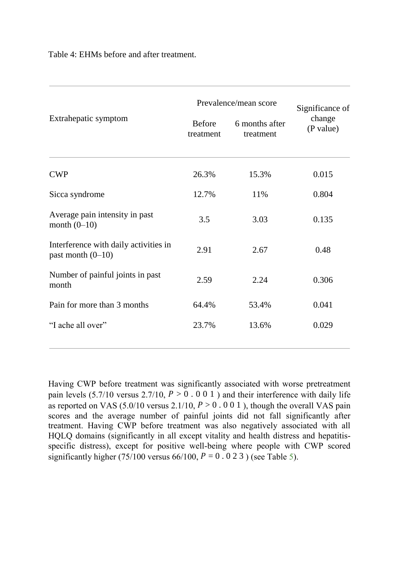Table 4: EHMs before and after treatment.

| Extrahepatic symptom                                         | Prevalence/mean score      | Significance of             |                     |
|--------------------------------------------------------------|----------------------------|-----------------------------|---------------------|
|                                                              | <b>Before</b><br>treatment | 6 months after<br>treatment | change<br>(P value) |
| <b>CWP</b>                                                   | 26.3%                      | 15.3%                       | 0.015               |
| Sicca syndrome                                               | 12.7%                      | 11%                         | 0.804               |
| Average pain intensity in past<br>month $(0-10)$             | 3.5                        | 3.03                        | 0.135               |
| Interference with daily activities in<br>past month $(0-10)$ | 2.91                       | 2.67                        | 0.48                |
| Number of painful joints in past<br>month                    | 2.59                       | 2.24                        | 0.306               |
| Pain for more than 3 months                                  | 64.4%                      | 53.4%                       | 0.041               |
| "I ache all over"                                            | 23.7%                      | 13.6%                       | 0.029               |

Having CWP before treatment was significantly associated with worse pretreatment pain levels  $(5.7/10 \text{ versus } 2.7/10, P > 0.001)$  and their interference with daily life as reported on VAS (5.0/10 versus 2.1/10,  $P > 0$ . 0 0 1), though the overall VAS pain scores and the average number of painful joints did not fall significantly after treatment. Having CWP before treatment was also negatively associated with all HQLQ domains (significantly in all except vitality and health distress and hepatitisspecific distress), except for positive well-being where people with CWP scored significantly higher (75/100 versus 66/100,  $P = 0.023$ ) (see Table [5\)](http://www.hindawi.com/journals/heprt/2013/910519/tab5/).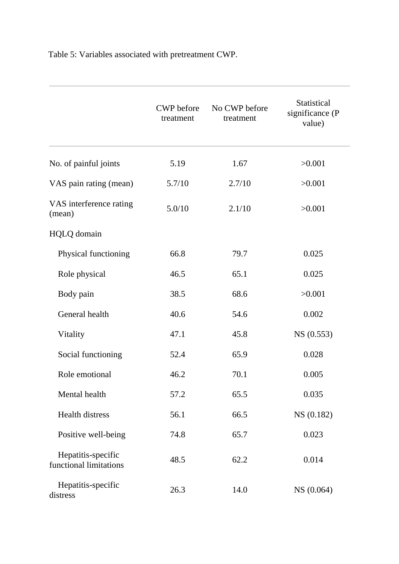Table 5: Variables associated with pretreatment CWP.

|                                              | <b>CWP</b> before<br>treatment | No CWP before<br>treatment | Statistical<br>significance (P<br>value) |
|----------------------------------------------|--------------------------------|----------------------------|------------------------------------------|
| No. of painful joints                        | 5.19                           | 1.67                       | >0.001                                   |
| VAS pain rating (mean)                       | 5.7/10                         | 2.7/10                     | >0.001                                   |
| VAS interference rating<br>(mean)            | 5.0/10                         | 2.1/10                     | >0.001                                   |
| <b>HQLQ</b> domain                           |                                |                            |                                          |
| Physical functioning                         | 66.8                           | 79.7                       | 0.025                                    |
| Role physical                                | 46.5                           | 65.1                       | 0.025                                    |
| Body pain                                    | 38.5                           | 68.6                       | >0.001                                   |
| General health                               | 40.6                           | 54.6                       | 0.002                                    |
| Vitality                                     | 47.1                           | 45.8                       | NS(0.553)                                |
| Social functioning                           | 52.4                           | 65.9                       | 0.028                                    |
| Role emotional                               | 46.2                           | 70.1                       | 0.005                                    |
| Mental health                                | 57.2                           | 65.5                       | 0.035                                    |
| <b>Health distress</b>                       | 56.1                           | 66.5                       | NS (0.182)                               |
| Positive well-being                          | 74.8                           | 65.7                       | 0.023                                    |
| Hepatitis-specific<br>functional limitations | 48.5                           | 62.2                       | 0.014                                    |
| Hepatitis-specific<br>distress               | 26.3                           | 14.0                       | NS (0.064)                               |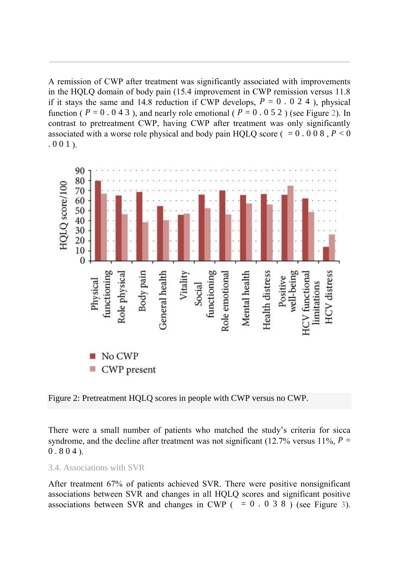A remission of CWP after treatment was significantly associated with improvements in the HQLQ domain of body pain (15.4 improvement in CWP remission versus 11.8 if it stays the same and 14.8 reduction if CWP develops,  $P = 0.024$ ), physical function (  $P = 0.043$  ), and nearly role emotional (  $P = 0.052$  ) (see Figure [2\)](http://www.hindawi.com/journals/heprt/2013/910519/fig2/). In contrast to pretreatment CWP, having CWP after treatment was only significantly associated with a worse role physical and body pain HQLQ score ( $= 0.008$ ,  $P < 0$ )  $.001$ .



Figure 2: Pretreatment HQLQ scores in people with CWP versus no CWP.

There were a small number of patients who matched the study's criteria for sicca syndrome, and the decline after treatment was not significant (12.7% versus 11%,  $P =$  $0.804$ .

3.4. Associations with SVR

After treatment 67% of patients achieved SVR. There were positive nonsignificant associations between SVR and changes in all HQLQ scores and significant positive associations between SVR and changes in CWP ( $= 0.038$ ) (see Figure [3\)](http://www.hindawi.com/journals/heprt/2013/910519/fig3/).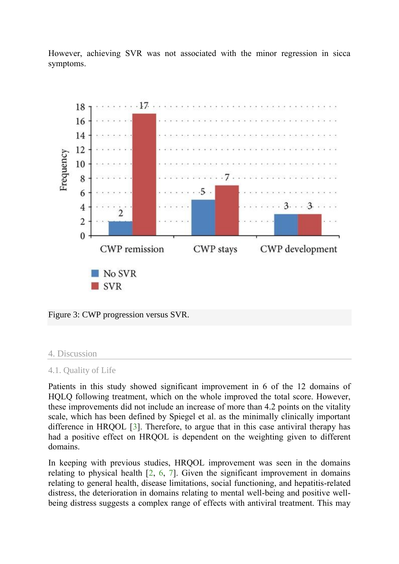However, achieving SVR was not associated with the minor regression in sicca symptoms.



Figure 3: CWP progression versus SVR.

### 4. Discussion

### 4.1. Quality of Life

Patients in this study showed significant improvement in 6 of the 12 domains of HQLQ following treatment, which on the whole improved the total score. However, these improvements did not include an increase of more than 4.2 points on the vitality scale, which has been defined by Spiegel et al. as the minimally clinically important difference in HRQOL [\[3\]](http://www.hindawi.com/journals/heprt/2013/910519/#B3). Therefore, to argue that in this case antiviral therapy has had a positive effect on HRQOL is dependent on the weighting given to different domains.

In keeping with previous studies, HRQOL improvement was seen in the domains relating to physical health [\[2,](http://www.hindawi.com/journals/heprt/2013/910519/#B2) [6,](http://www.hindawi.com/journals/heprt/2013/910519/#B6) [7\]](http://www.hindawi.com/journals/heprt/2013/910519/#B7). Given the significant improvement in domains relating to general health, disease limitations, social functioning, and hepatitis-related distress, the deterioration in domains relating to mental well-being and positive wellbeing distress suggests a complex range of effects with antiviral treatment. This may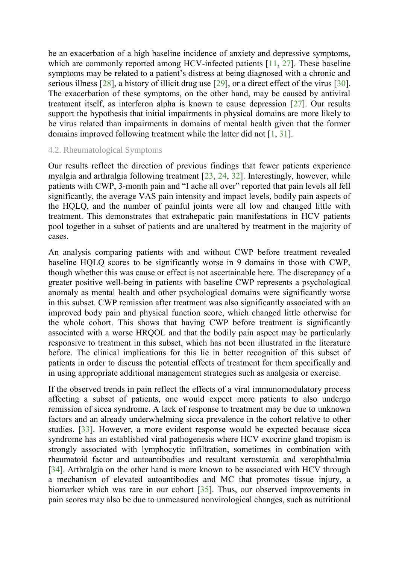be an exacerbation of a high baseline incidence of anxiety and depressive symptoms, which are commonly reported among HCV-infected patients [\[11,](http://www.hindawi.com/journals/heprt/2013/910519/#B11) [27\]](http://www.hindawi.com/journals/heprt/2013/910519/#B27). These baseline symptoms may be related to a patient's distress at being diagnosed with a chronic and serious illness [\[28\]](http://www.hindawi.com/journals/heprt/2013/910519/#B28), a history of illicit drug use [\[29\]](http://www.hindawi.com/journals/heprt/2013/910519/#B29), or a direct effect of the virus [\[30\]](http://www.hindawi.com/journals/heprt/2013/910519/#B30). The exacerbation of these symptoms, on the other hand, may be caused by antiviral treatment itself, as interferon alpha is known to cause depression [\[27\]](http://www.hindawi.com/journals/heprt/2013/910519/#B27). Our results support the hypothesis that initial impairments in physical domains are more likely to be virus related than impairments in domains of mental health given that the former domains improved following treatment while the latter did not [\[1,](http://www.hindawi.com/journals/heprt/2013/910519/#B1) [31\]](http://www.hindawi.com/journals/heprt/2013/910519/#B31).

#### 4.2. Rheumatological Symptoms

Our results reflect the direction of previous findings that fewer patients experience myalgia and arthralgia following treatment [\[23,](http://www.hindawi.com/journals/heprt/2013/910519/#B23) [24,](http://www.hindawi.com/journals/heprt/2013/910519/#B24) [32\]](http://www.hindawi.com/journals/heprt/2013/910519/#B32). Interestingly, however, while patients with CWP, 3-month pain and "I ache all over" reported that pain levels all fell significantly, the average VAS pain intensity and impact levels, bodily pain aspects of the HQLQ, and the number of painful joints were all low and changed little with treatment. This demonstrates that extrahepatic pain manifestations in HCV patients pool together in a subset of patients and are unaltered by treatment in the majority of cases.

An analysis comparing patients with and without CWP before treatment revealed baseline HQLQ scores to be significantly worse in 9 domains in those with CWP, though whether this was cause or effect is not ascertainable here. The discrepancy of a greater positive well-being in patients with baseline CWP represents a psychological anomaly as mental health and other psychological domains were significantly worse in this subset. CWP remission after treatment was also significantly associated with an improved body pain and physical function score, which changed little otherwise for the whole cohort. This shows that having CWP before treatment is significantly associated with a worse HRQOL and that the bodily pain aspect may be particularly responsive to treatment in this subset, which has not been illustrated in the literature before. The clinical implications for this lie in better recognition of this subset of patients in order to discuss the potential effects of treatment for them specifically and in using appropriate additional management strategies such as analgesia or exercise.

If the observed trends in pain reflect the effects of a viral immunomodulatory process affecting a subset of patients, one would expect more patients to also undergo remission of sicca syndrome. A lack of response to treatment may be due to unknown factors and an already underwhelming sicca prevalence in the cohort relative to other studies. [\[33\]](http://www.hindawi.com/journals/heprt/2013/910519/#B33). However, a more evident response would be expected because sicca syndrome has an established viral pathogenesis where HCV exocrine gland tropism is strongly associated with lymphocytic infiltration, sometimes in combination with rheumatoid factor and autoantibodies and resultant xerostomia and xerophthalmia [\[34\]](http://www.hindawi.com/journals/heprt/2013/910519/#B34). Arthralgia on the other hand is more known to be associated with HCV through a mechanism of elevated autoantibodies and MC that promotes tissue injury, a biomarker which was rare in our cohort [\[35\]](http://www.hindawi.com/journals/heprt/2013/910519/#B35). Thus, our observed improvements in pain scores may also be due to unmeasured nonvirological changes, such as nutritional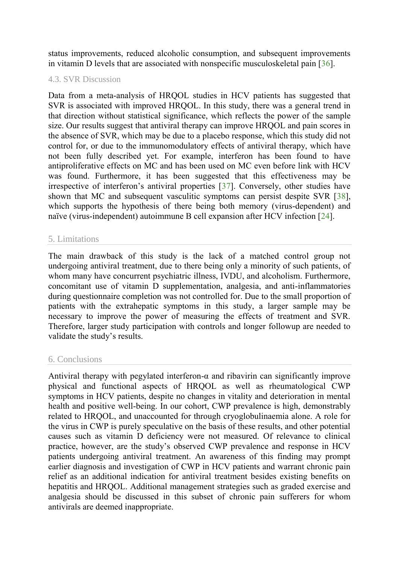status improvements, reduced alcoholic consumption, and subsequent improvements in vitamin D levels that are associated with nonspecific musculoskeletal pain [\[36\]](http://www.hindawi.com/journals/heprt/2013/910519/#B36).

### 4.3. SVR Discussion

Data from a meta-analysis of HRQOL studies in HCV patients has suggested that SVR is associated with improved HRQOL. In this study, there was a general trend in that direction without statistical significance, which reflects the power of the sample size. Our results suggest that antiviral therapy can improve HRQOL and pain scores in the absence of SVR, which may be due to a placebo response, which this study did not control for, or due to the immunomodulatory effects of antiviral therapy, which have not been fully described yet. For example, interferon has been found to have antiproliferative effects on MC and has been used on MC even before link with HCV was found. Furthermore, it has been suggested that this effectiveness may be irrespective of interferon's antiviral properties [[37\]](http://www.hindawi.com/journals/heprt/2013/910519/#B37). Conversely, other studies have shown that MC and subsequent vasculitic symptoms can persist despite SVR [\[38\]](http://www.hindawi.com/journals/heprt/2013/910519/#B38), which supports the hypothesis of there being both memory (virus-dependent) and naïve (virus-independent) autoimmune B cell expansion after HCV infection [\[24\]](http://www.hindawi.com/journals/heprt/2013/910519/#B24).

### 5. Limitations

The main drawback of this study is the lack of a matched control group not undergoing antiviral treatment, due to there being only a minority of such patients, of whom many have concurrent psychiatric illness, IVDU, and alcoholism. Furthermore, concomitant use of vitamin D supplementation, analgesia, and anti-inflammatories during questionnaire completion was not controlled for. Due to the small proportion of patients with the extrahepatic symptoms in this study, a larger sample may be necessary to improve the power of measuring the effects of treatment and SVR. Therefore, larger study participation with controls and longer followup are needed to validate the study's results.

### 6. Conclusions

Antiviral therapy with pegylated interferon- $\alpha$  and ribavirin can significantly improve physical and functional aspects of HRQOL as well as rheumatological CWP symptoms in HCV patients, despite no changes in vitality and deterioration in mental health and positive well-being. In our cohort, CWP prevalence is high, demonstrably related to HRQOL, and unaccounted for through cryoglobulinaemia alone. A role for the virus in CWP is purely speculative on the basis of these results, and other potential causes such as vitamin D deficiency were not measured. Of relevance to clinical practice, however, are the study's observed CWP prevalence and response in HCV patients undergoing antiviral treatment. An awareness of this finding may prompt earlier diagnosis and investigation of CWP in HCV patients and warrant chronic pain relief as an additional indication for antiviral treatment besides existing benefits on hepatitis and HRQOL. Additional management strategies such as graded exercise and analgesia should be discussed in this subset of chronic pain sufferers for whom antivirals are deemed inappropriate.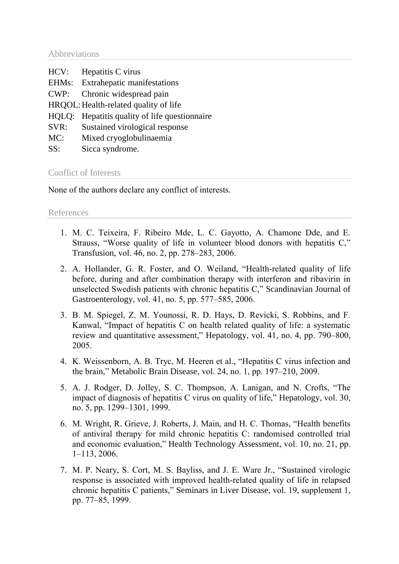Abbreviations

| HCV:  | Hepatitis C virus                             |
|-------|-----------------------------------------------|
| EHMs: | Extrahepatic manifestations                   |
| CWP:  | Chronic widespread pain                       |
|       | HRQOL: Health-related quality of life         |
|       | HQLQ: Hepatitis quality of life questionnaire |
| SVR:  | Sustained virological response                |
| MC:   | Mixed cryoglobulinaemia                       |
| SS:   | Sicca syndrome.                               |
|       |                                               |

### Conflict of Interests

None of the authors declare any conflict of interests.

References

- 1. M. C. Teixeira, F. Ribeiro Mde, L. C. Gayotto, A. Chamone Dde, and E. Strauss, "Worse quality of life in volunteer blood donors with hepatitis C," Transfusion, vol. 46, no. 2, pp. 278–283, 2006.
- 2. A. Hollander, G. R. Foster, and O. Weiland, "Health-related quality of life before, during and after combination therapy with interferon and ribavirin in unselected Swedish patients with chronic hepatitis C," Scandinavian Journal of Gastroenterology, vol. 41, no. 5, pp. 577–585, 2006.
- 3. B. M. Spiegel, Z. M. Younossi, R. D. Hays, D. Revicki, S. Robbins, and F. Kanwal, "Impact of hepatitis C on health related quality of life: a systematic review and quantitative assessment," Hepatology, vol. 41, no. 4, pp. 790–800, 2005.
- 4. K. Weissenborn, A. B. Tryc, M. Heeren et al., "Hepatitis C virus infection and the brain," Metabolic Brain Disease, vol. 24, no. 1, pp. 197–210, 2009.
- 5. A. J. Rodger, D. Jolley, S. C. Thompson, A. Lanigan, and N. Crofts, "The impact of diagnosis of hepatitis C virus on quality of life," Hepatology, vol. 30, no. 5, pp. 1299–1301, 1999.
- 6. M. Wright, R. Grieve, J. Roberts, J. Main, and H. C. Thomas, "Health benefits of antiviral therapy for mild chronic hepatitis C: randomised controlled trial and economic evaluation," Health Technology Assessment, vol. 10, no. 21, pp. 1–113, 2006.
- 7. M. P. Neary, S. Cort, M. S. Bayliss, and J. E. Ware Jr., "Sustained virologic response is associated with improved health-related quality of life in relapsed chronic hepatitis C patients," Seminars in Liver Disease, vol. 19, supplement 1, pp. 77–85, 1999.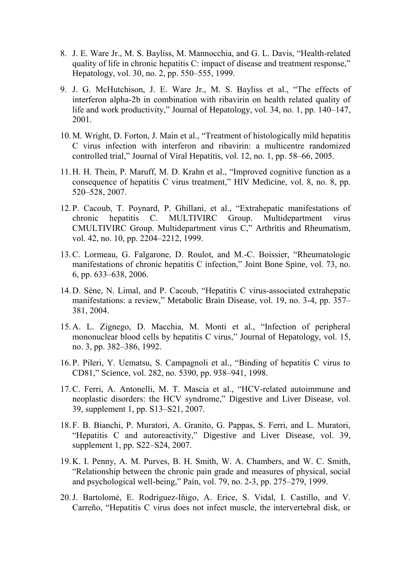- 8. J. E. Ware Jr., M. S. Bayliss, M. Mannocchia, and G. L. Davis, "Health-related quality of life in chronic hepatitis C: impact of disease and treatment response," Hepatology, vol. 30, no. 2, pp. 550–555, 1999.
- 9. J. G. McHutchison, J. E. Ware Jr., M. S. Bayliss et al., "The effects of interferon alpha-2b in combination with ribavirin on health related quality of life and work productivity," Journal of Hepatology, vol. 34, no. 1, pp. 140–147, 2001.
- 10.M. Wright, D. Forton, J. Main et al., "Treatment of histologically mild hepatitis C virus infection with interferon and ribavirin: a multicentre randomized controlled trial," Journal of Viral Hepatitis, vol. 12, no. 1, pp. 58–66, 2005.
- 11.H. H. Thein, P. Maruff, M. D. Krahn et al., "Improved cognitive function as a consequence of hepatitis C virus treatment," HIV Medicine, vol. 8, no. 8, pp. 520–528, 2007.
- 12.P. Cacoub, T. Poynard, P. Ghillani, et al., "Extrahepatic manifestations of chronic hepatitis C. MULTIVIRC Group. Multidepartment virus CMULTIVIRC Group. Multidepartment virus C," Arthritis and Rheumatism, vol. 42, no. 10, pp. 2204–2212, 1999.
- 13.C. Lormeau, G. Falgarone, D. Roulot, and M.-C. Boissier, "Rheumatologic manifestations of chronic hepatitis C infection," Joint Bone Spine, vol. 73, no. 6, pp. 633–638, 2006.
- 14.D. Sène, N. Limal, and P. Cacoub, "Hepatitis C virus-associated extrahepatic manifestations: a review," Metabolic Brain Disease, vol. 19, no. 3-4, pp. 357– 381, 2004.
- 15.A. L. Zignego, D. Macchia, M. Monti et al., "Infection of peripheral mononuclear blood cells by hepatitis C virus," Journal of Hepatology, vol. 15, no. 3, pp. 382–386, 1992.
- 16.P. Pileri, Y. Uematsu, S. Campagnoli et al., "Binding of hepatitis C virus to CD81," Science, vol. 282, no. 5390, pp. 938–941, 1998.
- 17.C. Ferri, A. Antonelli, M. T. Mascia et al., "HCV-related autoimmune and neoplastic disorders: the HCV syndrome," Digestive and Liver Disease, vol. 39, supplement 1, pp. S13–S21, 2007.
- 18.F. B. Bianchi, P. Muratori, A. Granito, G. Pappas, S. Ferri, and L. Muratori, "Hepatitis C and autoreactivity," Digestive and Liver Disease, vol. 39, supplement 1, pp. S22–S24, 2007.
- 19.K. I. Penny, A. M. Purves, B. H. Smith, W. A. Chambers, and W. C. Smith, "Relationship between the chronic pain grade and measures of physical, social and psychological well-being," Pain, vol. 79, no. 2-3, pp. 275–279, 1999.
- 20.J. Bartolomé, E. Rodríguez-Iñigo, A. Erice, S. Vidal, I. Castillo, and V. Carreño, "Hepatitis C virus does not infect muscle, the intervertebral disk, or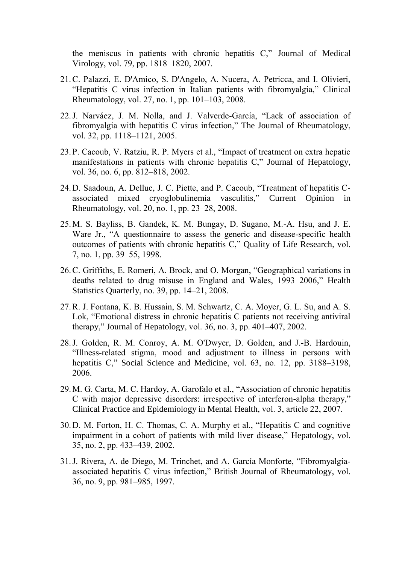the meniscus in patients with chronic hepatitis C," Journal of Medical Virology, vol. 79, pp. 1818–1820, 2007.

- 21.C. Palazzi, E. D'Amico, S. D'Angelo, A. Nucera, A. Petricca, and I. Olivieri, "Hepatitis C virus infection in Italian patients with fibromyalgia," Clinical Rheumatology, vol. 27, no. 1, pp. 101–103, 2008.
- 22.J. Narváez, J. M. Nolla, and J. Valverde-García, "Lack of association of fibromyalgia with hepatitis C virus infection," The Journal of Rheumatology, vol. 32, pp. 1118–1121, 2005.
- 23.P. Cacoub, V. Ratziu, R. P. Myers et al., "Impact of treatment on extra hepatic manifestations in patients with chronic hepatitis C," Journal of Hepatology, vol. 36, no. 6, pp. 812–818, 2002.
- 24.D. Saadoun, A. Delluc, J. C. Piette, and P. Cacoub, "Treatment of hepatitis Cassociated mixed cryoglobulinemia vasculitis," Current Opinion in Rheumatology, vol. 20, no. 1, pp. 23–28, 2008.
- 25.M. S. Bayliss, B. Gandek, K. M. Bungay, D. Sugano, M.-A. Hsu, and J. E. Ware Jr., "A questionnaire to assess the generic and disease-specific health outcomes of patients with chronic hepatitis C," Quality of Life Research, vol. 7, no. 1, pp. 39–55, 1998.
- 26.C. Griffiths, E. Romeri, A. Brock, and O. Morgan, "Geographical variations in deaths related to drug misuse in England and Wales, 1993–2006," Health Statistics Quarterly, no. 39, pp. 14–21, 2008.
- 27.R. J. Fontana, K. B. Hussain, S. M. Schwartz, C. A. Moyer, G. L. Su, and A. S. Lok, "Emotional distress in chronic hepatitis C patients not receiving antiviral therapy," Journal of Hepatology, vol. 36, no. 3, pp. 401–407, 2002.
- 28.J. Golden, R. M. Conroy, A. M. O'Dwyer, D. Golden, and J.-B. Hardouin, "Illness-related stigma, mood and adjustment to illness in persons with hepatitis C," Social Science and Medicine, vol. 63, no. 12, pp. 3188–3198, 2006.
- 29.M. G. Carta, M. C. Hardoy, A. Garofalo et al., "Association of chronic hepatitis C with major depressive disorders: irrespective of interferon-alpha therapy," Clinical Practice and Epidemiology in Mental Health, vol. 3, article 22, 2007.
- 30.D. M. Forton, H. C. Thomas, C. A. Murphy et al., "Hepatitis C and cognitive impairment in a cohort of patients with mild liver disease," Hepatology, vol. 35, no. 2, pp. 433–439, 2002.
- 31.J. Rivera, A. de Diego, M. Trinchet, and A. García Monforte, "Fibromyalgiaassociated hepatitis C virus infection," British Journal of Rheumatology, vol. 36, no. 9, pp. 981–985, 1997.